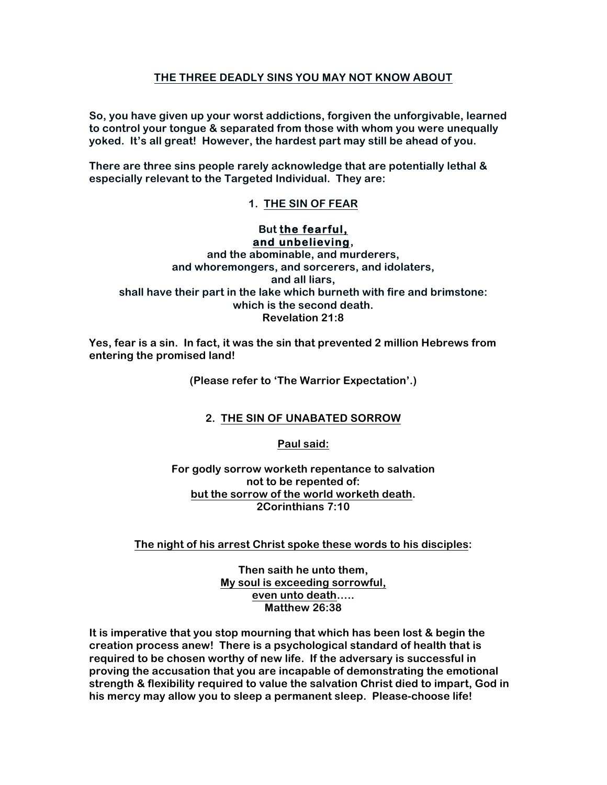## **THE THREE DEADLY SINS YOU MAY NOT KNOW ABOUT**

**So, you have given up your worst addictions, forgiven the unforgivable, learned to control your tongue & separated from those with whom you were unequally yoked. It's all great! However, the hardest part may still be ahead of you.**

**There are three sins people rarely acknowledge that are potentially lethal & especially relevant to the Targeted Individual. They are:**

**1. THE SIN OF FEAR**

## **But the fearful, and unbelieving,**

**and the abominable, and murderers, and whoremongers, and sorcerers, and idolaters, and all liars, shall have their part in the lake which burneth with fire and brimstone: which is the second death. Revelation 21:8**

**Yes, fear is a sin. In fact, it was the sin that prevented 2 million Hebrews from entering the promised land!**

**(Please refer to 'The Warrior Expectation'.)**

# **2. THE SIN OF UNABATED SORROW**

**Paul said:**

**For godly sorrow worketh repentance to salvation not to be repented of: but the sorrow of the world worketh death. 2Corinthians 7:10**

## **The night of his arrest Christ spoke these words to his disciples:**

**Then saith he unto them, My soul is exceeding sorrowful, even unto death….. Matthew 26:38**

**It is imperative that you stop mourning that which has been lost & begin the creation process anew! There is a psychological standard of health that is required to be chosen worthy of new life. If the adversary is successful in proving the accusation that you are incapable of demonstrating the emotional strength & flexibility required to value the salvation Christ died to impart, God in his mercy may allow you to sleep a permanent sleep. Please-choose life!**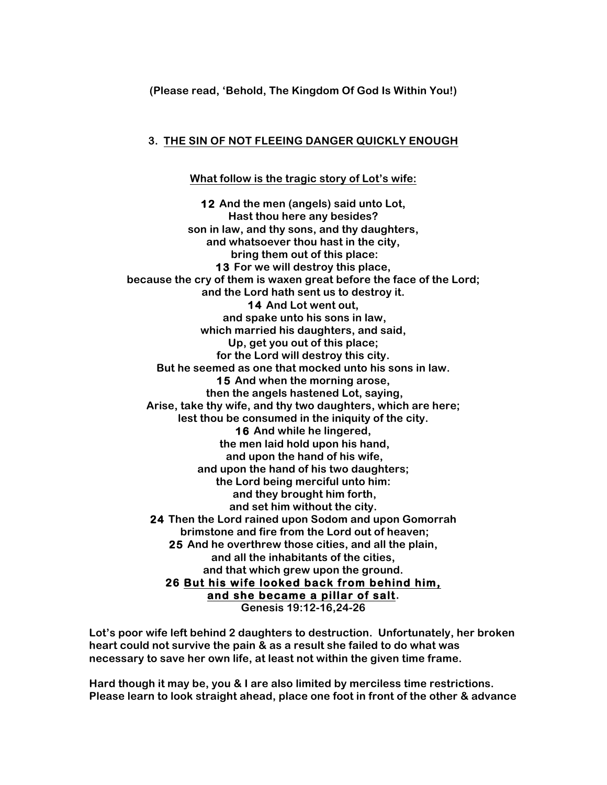### **(Please read, 'Behold, The Kingdom Of God Is Within You!)**

#### **3. THE SIN OF NOT FLEEING DANGER QUICKLY ENOUGH**

#### **What follow is the tragic story of Lot's wife:**

**12 And the men (angels) said unto Lot, Hast thou here any besides? son in law, and thy sons, and thy daughters, and whatsoever thou hast in the city, bring them out of this place: 13 For we will destroy this place, because the cry of them is waxen great before the face of the Lord; and the Lord hath sent us to destroy it. 14 And Lot went out, and spake unto his sons in law, which married his daughters, and said, Up, get you out of this place; for the Lord will destroy this city. But he seemed as one that mocked unto his sons in law. 15 And when the morning arose, then the angels hastened Lot, saying, Arise, take thy wife, and thy two daughters, which are here; lest thou be consumed in the iniquity of the city. 16 And while he lingered, the men laid hold upon his hand, and upon the hand of his wife, and upon the hand of his two daughters; the Lord being merciful unto him: and they brought him forth, and set him without the city. 24 Then the Lord rained upon Sodom and upon Gomorrah brimstone and fire from the Lord out of heaven; 25 And he overthrew those cities, and all the plain, and all the inhabitants of the cities, and that which grew upon the ground. 26 But his wife looked back from behind him, and she became a pillar of salt. Genesis 19:12-16,24-26**

**Lot's poor wife left behind 2 daughters to destruction. Unfortunately, her broken heart could not survive the pain & as a result she failed to do what was necessary to save her own life, at least not within the given time frame.** 

**Hard though it may be, you & I are also limited by merciless time restrictions. Please learn to look straight ahead, place one foot in front of the other & advance**